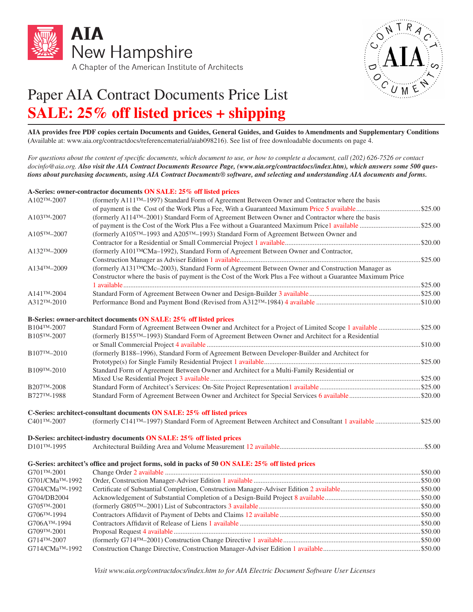



## Paper AIA Contract Documents Price List **SALE: 25% off listed prices + shipping**

**AIA provides free PDF copies certain Documents and Guides, General Guides, and Guides to Amendments and Supplementary Conditions (**Available at: www.aia.org/contractdocs/referencematerial/aiab098216). See list of free downloadable documents on page 4.

*For questions about the content of specific documents, which document to use, or how to complete a document, call (202) 626-7526 or contact docinfo@aia.org. Also visit the AIA Contract Documents Resource Page, (www.aia.org/contractdocs/index.htm), which answers some 500 questions about purchasing documents, using AIA Contract Documents® software, and selecting and understanding AIA documents and forms.* 

## **A-Series: owner-contractor documents ON SALE: 25% off listed prices**

| A102TM-2007                  | (formerly A111™-1997) Standard Form of Agreement Between Owner and Contractor where the basis                                                                                   |  |
|------------------------------|---------------------------------------------------------------------------------------------------------------------------------------------------------------------------------|--|
|                              |                                                                                                                                                                                 |  |
| A103TM-2007                  | (formerly A114 <sup>TM</sup> -2001) Standard Form of Agreement Between Owner and Contractor where the basis                                                                     |  |
|                              |                                                                                                                                                                                 |  |
| A105TM-2007                  | (formerly A105TM-1993 and A205TM-1993) Standard Form of Agreement Between Owner and                                                                                             |  |
|                              |                                                                                                                                                                                 |  |
| A132TM-2009                  | (formerly A101 <sup>TM</sup> CMa-1992), Standard Form of Agreement Between Owner and Contractor,                                                                                |  |
|                              |                                                                                                                                                                                 |  |
| $A134^{TM} - 2009$           | (formerly A131™CMc-2003), Standard Form of Agreement Between Owner and Construction Manager as                                                                                  |  |
|                              | Constructor where the basis of payment is the Cost of the Work Plus a Fee without a Guarantee Maximum Price                                                                     |  |
|                              |                                                                                                                                                                                 |  |
| $A141^{TM} - 2004$           |                                                                                                                                                                                 |  |
| $A312^{TM} - 2010$           |                                                                                                                                                                                 |  |
|                              |                                                                                                                                                                                 |  |
| B104TM-2007                  | B-Series: owner-architect documents ON SALE: 25% off listed prices<br>Standard Form of Agreement Between Owner and Architect for a Project of Limited Scope 1 available \$25.00 |  |
| B105TM-2007                  | (formerly B155™-1993) Standard Form of Agreement Between Owner and Architect for a Residential                                                                                  |  |
|                              |                                                                                                                                                                                 |  |
| B107TM-2010                  | (formerly B188-1996), Standard Form of Agreement Between Developer-Builder and Architect for                                                                                    |  |
|                              |                                                                                                                                                                                 |  |
| B109TM-2010                  | Standard Form of Agreement Between Owner and Architect for a Multi-Family Residential or                                                                                        |  |
|                              |                                                                                                                                                                                 |  |
| B207TM-2008                  |                                                                                                                                                                                 |  |
| B727TM-1988                  |                                                                                                                                                                                 |  |
|                              |                                                                                                                                                                                 |  |
|                              | C-Series: architect-consultant documents ON SALE: 25% off listed prices                                                                                                         |  |
| C401TM-2007                  | (formerly C141 <sup>TM</sup> -1997) Standard Form of Agreement Between Architect and Consultant 1 available \$25.00                                                             |  |
|                              | D-Series: architect-industry documents ON SALE: 25% off listed prices                                                                                                           |  |
| D101TM-1995                  |                                                                                                                                                                                 |  |
|                              | G-Series: architect's office and project forms, sold in packs of 50 ON SALE: 25% off listed prices                                                                              |  |
| G701TM-2001                  |                                                                                                                                                                                 |  |
| G701/CMa <sup>TM</sup> -1992 |                                                                                                                                                                                 |  |
| G704/CMa <sup>TM</sup> -1992 |                                                                                                                                                                                 |  |
| G704/DB2004                  |                                                                                                                                                                                 |  |
| G705TM-2001                  |                                                                                                                                                                                 |  |
| G706TM-1994                  |                                                                                                                                                                                 |  |
| G706ATM-1994                 |                                                                                                                                                                                 |  |
| G709TM-2001                  |                                                                                                                                                                                 |  |
| G714TM-2007                  |                                                                                                                                                                                 |  |
| G714/CMa <sup>TM</sup> -1992 |                                                                                                                                                                                 |  |

*Visit www.aia.org/contractdocs/index.htm to for AIA Electric Document Software User Licenses*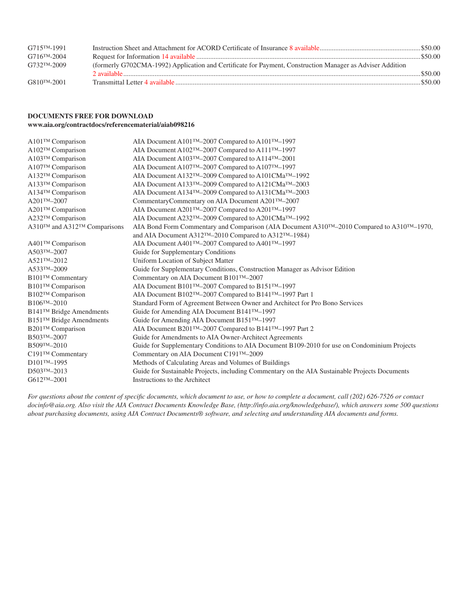| $G715^{TM-1991}$         |                                                                                                           |           |
|--------------------------|-----------------------------------------------------------------------------------------------------------|-----------|
| $G716^{TM-2004}$         |                                                                                                           |           |
| G732 <sup>TM</sup> -2009 | (formerly G702CMA-1992) Application and Certificate for Payment, Construction Manager as Adviser Addition |           |
|                          |                                                                                                           | \$50.00   |
| G810 <sup>TM</sup> -2001 |                                                                                                           | . \$50.00 |

## **DOCUMENTS FREE FOR DOWNLOAD www.aia.org/contractdocs/referencematerial/aiab098216**

| $A101$ <sup>TM</sup> Comparison      | AIA Document A101™-2007 Compared to A101™-1997                                                 |
|--------------------------------------|------------------------------------------------------------------------------------------------|
| A102™ Comparison                     | AIA Document A102™-2007 Compared to A111™-1997                                                 |
| A103™ Comparison                     | AIA Document A103™-2007 Compared to A114™-2001                                                 |
| A107™ Comparison                     | AIA Document A107™-2007 Compared to A107™-1997                                                 |
| A132™ Comparison                     | AIA Document A132™-2009 Compared to A101CMa™-1992                                              |
| A133™ Comparison                     | AIA Document A133™-2009 Compared to A121CMa™-2003                                              |
| A134™ Comparison                     | AIA Document A134TM-2009 Compared to A131CMaTM-2003                                            |
| $A201^{TM} - 2007$                   | CommentaryCommentary on AIA Document A201™-2007                                                |
| A201™ Comparison                     | AIA Document A201™-2007 Compared to A201™-1997                                                 |
| A232™ Comparison                     | AIA Document A232™-2009 Compared to A201CMa™-1992                                              |
| A310™ and A312™ Comparisons          | AIA Bond Form Commentary and Comparison (AIA Document A310™-2010 Compared to A310™-1970,       |
|                                      | and AIA Document A312TM-2010 Compared to A312TM-1984)                                          |
| A401™ Comparison                     | AIA Document A401™-2007 Compared to A401™-1997                                                 |
| A503TM-2007                          | Guide for Supplementary Conditions                                                             |
| A521TM-2012                          | Uniform Location of Subject Matter                                                             |
| A533TM-2009                          | Guide for Supplementary Conditions, Construction Manager as Advisor Edition                    |
| <b>B101™ Commentary</b>              | Commentary on AIA Document B101™-2007                                                          |
| B101™ Comparison                     | AIA Document B101™-2007 Compared to B151™-1997                                                 |
| B102TM Comparison                    | AIA Document B102TM-2007 Compared to B141TM-1997 Part 1                                        |
| B106TM-2010                          | Standard Form of Agreement Between Owner and Architect for Pro Bono Services                   |
| B141™ Bridge Amendments              | Guide for Amending AIA Document B141TM-1997                                                    |
| B151 <sup>TM</sup> Bridge Amendments | Guide for Amending AIA Document B151™-1997                                                     |
| B <sub>201™</sub> Comparison         | AIA Document B201™-2007 Compared to B141™-1997 Part 2                                          |
| B503TM-2007                          | Guide for Amendments to AIA Owner-Architect Agreements                                         |
| B509TM-2010                          | Guide for Supplementary Conditions to AIA Document B109-2010 for use on Condominium Projects   |
| C191™ Commentary                     | Commentary on AIA Document C191™-2009                                                          |
| D101TM-1995                          | Methods of Calculating Areas and Volumes of Buildings                                          |
| D503TM-2013                          | Guide for Sustainable Projects, including Commentary on the AIA Sustainable Projects Documents |
| G612TM-2001                          | Instructions to the Architect                                                                  |
|                                      |                                                                                                |

*For questions about the content of specific documents, which document to use, or how to complete a document, call (202) 626-7526 or contact docinfo@aia.org. Also visit the AIA Contract Documents Knowledge Base, (http://info.aia.org/knowledgebase/), which answers some 500 questions about purchasing documents, using AIA Contract Documents® software, and selecting and understanding AIA documents and forms.*